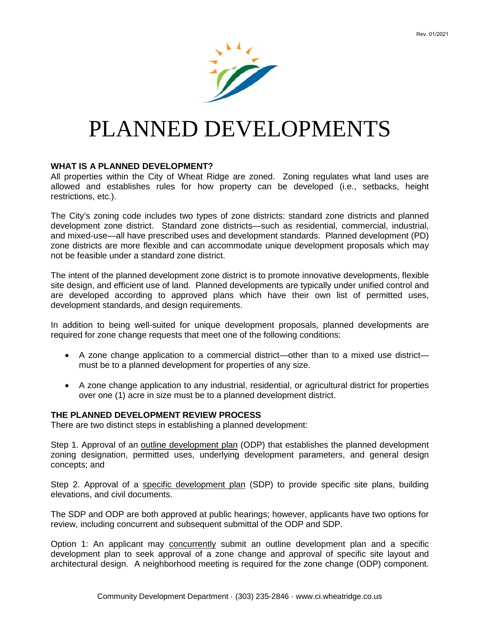

# PLANNED DEVELOPMENTS

#### **WHAT IS A PLANNED DEVELOPMENT?**

All properties within the City of Wheat Ridge are zoned. Zoning regulates what land uses are allowed and establishes rules for how property can be developed (i.e., setbacks, height restrictions, etc.).

The City's zoning code includes two types of zone districts: standard zone districts and planned development zone district. Standard zone districts—such as residential, commercial, industrial, and mixed-use—all have prescribed uses and development standards. Planned development (PD) zone districts are more flexible and can accommodate unique development proposals which may not be feasible under a standard zone district.

The intent of the planned development zone district is to promote innovative developments, flexible site design, and efficient use of land. Planned developments are typically under unified control and are developed according to approved plans which have their own list of permitted uses, development standards, and design requirements.

In addition to being well-suited for unique development proposals, planned developments are required for zone change requests that meet one of the following conditions:

- A zone change application to a commercial district—other than to a mixed use district must be to a planned development for properties of any size.
- A zone change application to any industrial, residential, or agricultural district for properties over one (1) acre in size must be to a planned development district.

#### **THE PLANNED DEVELOPMENT REVIEW PROCESS**

There are two distinct steps in establishing a planned development:

Step 1. Approval of an outline development plan (ODP) that establishes the planned development zoning designation, permitted uses, underlying development parameters, and general design concepts; and

Step 2. Approval of a specific development plan (SDP) to provide specific site plans, building elevations, and civil documents.

The SDP and ODP are both approved at public hearings; however, applicants have two options for review, including concurrent and subsequent submittal of the ODP and SDP.

Option 1: An applicant may concurrently submit an outline development plan and a specific development plan to seek approval of a zone change and approval of specific site layout and architectural design. A neighborhood meeting is required for the zone change (ODP) component.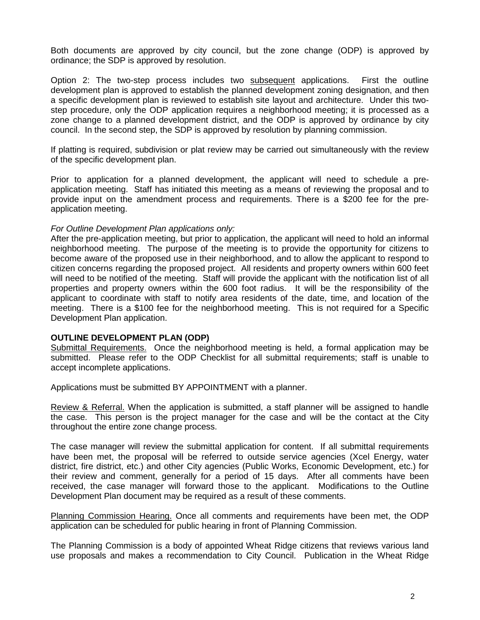Both documents are approved by city council, but the zone change (ODP) is approved by ordinance; the SDP is approved by resolution.

Option 2: The two-step process includes two subsequent applications. First the outline development plan is approved to establish the planned development zoning designation, and then a specific development plan is reviewed to establish site layout and architecture. Under this twostep procedure, only the ODP application requires a neighborhood meeting; it is processed as a zone change to a planned development district, and the ODP is approved by ordinance by city council. In the second step, the SDP is approved by resolution by planning commission.

If platting is required, subdivision or plat review may be carried out simultaneously with the review of the specific development plan.

Prior to application for a planned development, the applicant will need to schedule a preapplication meeting. Staff has initiated this meeting as a means of reviewing the proposal and to provide input on the amendment process and requirements. There is a \$200 fee for the preapplication meeting.

## *For Outline Development Plan applications only:*

After the pre-application meeting, but prior to application, the applicant will need to hold an informal neighborhood meeting. The purpose of the meeting is to provide the opportunity for citizens to become aware of the proposed use in their neighborhood, and to allow the applicant to respond to citizen concerns regarding the proposed project. All residents and property owners within 600 feet will need to be notified of the meeting. Staff will provide the applicant with the notification list of all properties and property owners within the 600 foot radius. It will be the responsibility of the applicant to coordinate with staff to notify area residents of the date, time, and location of the meeting. There is a \$100 fee for the neighborhood meeting. This is not required for a Specific Development Plan application.

## **OUTLINE DEVELOPMENT PLAN (ODP)**

Submittal Requirements. Once the neighborhood meeting is held, a formal application may be submitted. Please refer to the ODP Checklist for all submittal requirements; staff is unable to accept incomplete applications.

Applications must be submitted BY APPOINTMENT with a planner.

Review & Referral. When the application is submitted, a staff planner will be assigned to handle the case. This person is the project manager for the case and will be the contact at the City throughout the entire zone change process.

The case manager will review the submittal application for content. If all submittal requirements have been met, the proposal will be referred to outside service agencies (Xcel Energy, water district, fire district, etc.) and other City agencies (Public Works, Economic Development, etc.) for their review and comment, generally for a period of 15 days. After all comments have been received, the case manager will forward those to the applicant. Modifications to the Outline Development Plan document may be required as a result of these comments.

Planning Commission Hearing. Once all comments and requirements have been met, the ODP application can be scheduled for public hearing in front of Planning Commission.

The Planning Commission is a body of appointed Wheat Ridge citizens that reviews various land use proposals and makes a recommendation to City Council. Publication in the Wheat Ridge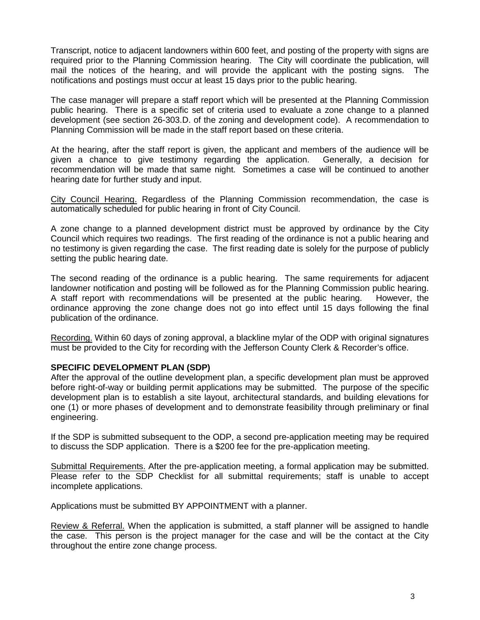Transcript, notice to adjacent landowners within 600 feet, and posting of the property with signs are required prior to the Planning Commission hearing. The City will coordinate the publication, will mail the notices of the hearing, and will provide the applicant with the posting signs. The notifications and postings must occur at least 15 days prior to the public hearing.

The case manager will prepare a staff report which will be presented at the Planning Commission public hearing. There is a specific set of criteria used to evaluate a zone change to a planned development (see section 26-303.D. of the zoning and development code). A recommendation to Planning Commission will be made in the staff report based on these criteria.

At the hearing, after the staff report is given, the applicant and members of the audience will be given a chance to give testimony regarding the application. Generally, a decision for recommendation will be made that same night. Sometimes a case will be continued to another hearing date for further study and input.

City Council Hearing. Regardless of the Planning Commission recommendation, the case is automatically scheduled for public hearing in front of City Council.

A zone change to a planned development district must be approved by ordinance by the City Council which requires two readings. The first reading of the ordinance is not a public hearing and no testimony is given regarding the case. The first reading date is solely for the purpose of publicly setting the public hearing date.

The second reading of the ordinance is a public hearing. The same requirements for adjacent landowner notification and posting will be followed as for the Planning Commission public hearing. A staff report with recommendations will be presented at the public hearing. However, the ordinance approving the zone change does not go into effect until 15 days following the final publication of the ordinance.

Recording. Within 60 days of zoning approval, a blackline mylar of the ODP with original signatures must be provided to the City for recording with the Jefferson County Clerk & Recorder's office.

## **SPECIFIC DEVELOPMENT PLAN (SDP)**

After the approval of the outline development plan, a specific development plan must be approved before right-of-way or building permit applications may be submitted. The purpose of the specific development plan is to establish a site layout, architectural standards, and building elevations for one (1) or more phases of development and to demonstrate feasibility through preliminary or final engineering.

If the SDP is submitted subsequent to the ODP, a second pre-application meeting may be required to discuss the SDP application. There is a \$200 fee for the pre-application meeting.

Submittal Requirements. After the pre-application meeting, a formal application may be submitted. Please refer to the SDP Checklist for all submittal requirements; staff is unable to accept incomplete applications.

Applications must be submitted BY APPOINTMENT with a planner.

Review & Referral. When the application is submitted, a staff planner will be assigned to handle the case. This person is the project manager for the case and will be the contact at the City throughout the entire zone change process.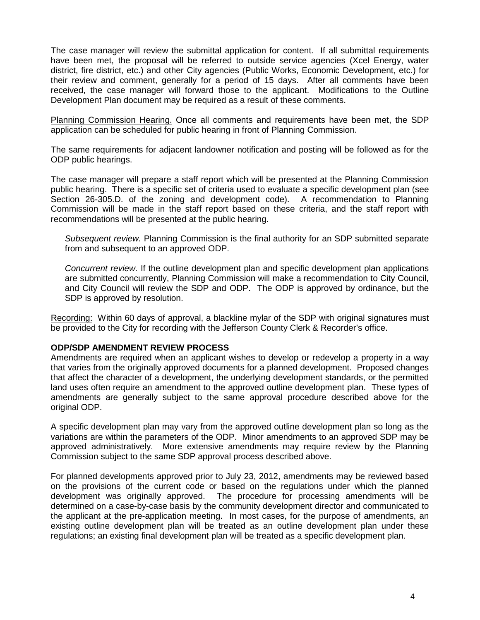The case manager will review the submittal application for content. If all submittal requirements have been met, the proposal will be referred to outside service agencies (Xcel Energy, water district, fire district, etc.) and other City agencies (Public Works, Economic Development, etc.) for their review and comment, generally for a period of 15 days. After all comments have been received, the case manager will forward those to the applicant. Modifications to the Outline Development Plan document may be required as a result of these comments.

Planning Commission Hearing. Once all comments and requirements have been met, the SDP application can be scheduled for public hearing in front of Planning Commission.

The same requirements for adjacent landowner notification and posting will be followed as for the ODP public hearings.

The case manager will prepare a staff report which will be presented at the Planning Commission public hearing. There is a specific set of criteria used to evaluate a specific development plan (see Section 26-305.D. of the zoning and development code). A recommendation to Planning Commission will be made in the staff report based on these criteria, and the staff report with recommendations will be presented at the public hearing.

*Subsequent review.* Planning Commission is the final authority for an SDP submitted separate from and subsequent to an approved ODP.

*Concurrent review.* If the outline development plan and specific development plan applications are submitted concurrently, Planning Commission will make a recommendation to City Council, and City Council will review the SDP and ODP. The ODP is approved by ordinance, but the SDP is approved by resolution.

Recording: Within 60 days of approval, a blackline mylar of the SDP with original signatures must be provided to the City for recording with the Jefferson County Clerk & Recorder's office.

## **ODP/SDP AMENDMENT REVIEW PROCESS**

Amendments are required when an applicant wishes to develop or redevelop a property in a way that varies from the originally approved documents for a planned development. Proposed changes that affect the character of a development, the underlying development standards, or the permitted land uses often require an amendment to the approved outline development plan. These types of amendments are generally subject to the same approval procedure described above for the original ODP.

A specific development plan may vary from the approved outline development plan so long as the variations are within the parameters of the ODP. Minor amendments to an approved SDP may be approved administratively. More extensive amendments may require review by the Planning Commission subject to the same SDP approval process described above.

For planned developments approved prior to July 23, 2012, amendments may be reviewed based on the provisions of the current code or based on the regulations under which the planned development was originally approved. The procedure for processing amendments will be determined on a case-by-case basis by the community development director and communicated to the applicant at the pre-application meeting. In most cases, for the purpose of amendments, an existing outline development plan will be treated as an outline development plan under these regulations; an existing final development plan will be treated as a specific development plan.